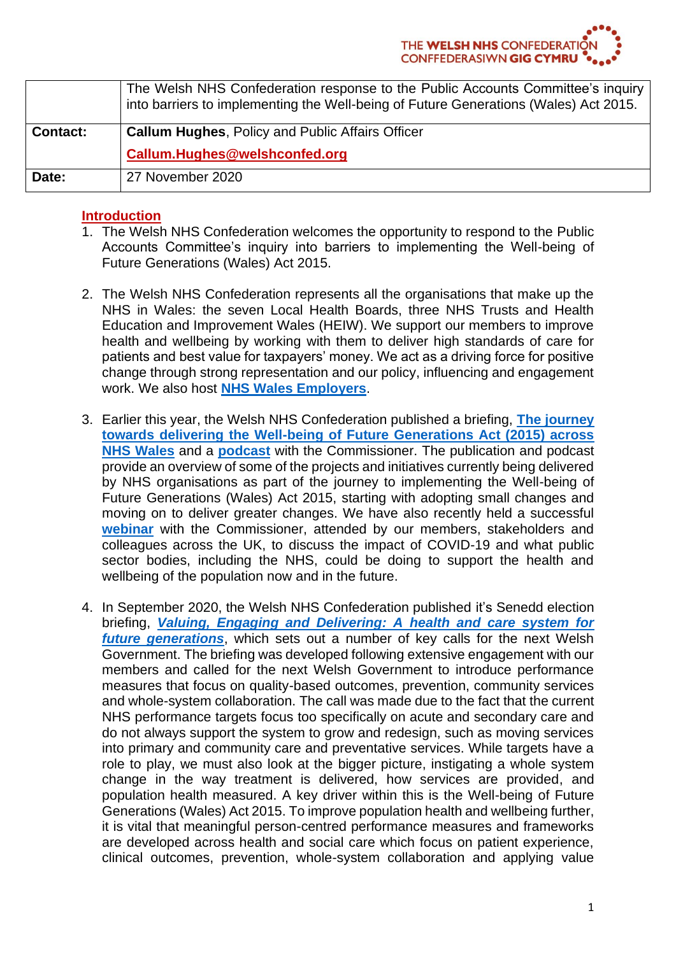|                 | The Welsh NHS Confederation response to the Public Accounts Committee's inquiry<br>into barriers to implementing the Well-being of Future Generations (Wales) Act 2015. |
|-----------------|-------------------------------------------------------------------------------------------------------------------------------------------------------------------------|
| <b>Contact:</b> | <b>Callum Hughes, Policy and Public Affairs Officer</b>                                                                                                                 |
|                 | Callum.Hughes@welshconfed.org                                                                                                                                           |
| Date:           | 27 November 2020                                                                                                                                                        |

## **Introduction**

- 1. The Welsh NHS Confederation welcomes the opportunity to respond to the Public Accounts Committee's inquiry into barriers to implementing the Well-being of Future Generations (Wales) Act 2015.
- 2. The Welsh NHS Confederation represents all the organisations that make up the NHS in Wales: the seven Local Health Boards, three NHS Trusts and Health Education and Improvement Wales (HEIW). We support our members to improve health and wellbeing by working with them to deliver high standards of care for patients and best value for taxpayers' money. We act as a driving force for positive change through strong representation and our policy, influencing and engagement work. We also host **[NHS Wales Employers](https://www.nhsconfed.org/regions-and-eu/welsh-nhs-confederation/nhs-wales-employers)**.
- 3. Earlier this year, the Welsh NHS Confederation published a briefing, **[The journey](https://www.nhsconfed.org/resources/2020/01/wellbeing-of-future-generations)  [towards delivering the Well-being of Future Generations Act \(2015\) across](https://www.nhsconfed.org/resources/2020/01/wellbeing-of-future-generations)  [NHS Wales](https://www.nhsconfed.org/resources/2020/01/wellbeing-of-future-generations)** and a **[podcast](https://soundcloud.com/user-748286944/episode-4-wellbeing-of-future-generations-commissoner)** with the Commissioner. The publication and podcast provide an overview of some of the projects and initiatives currently being delivered by NHS organisations as part of the journey to implementing the Well-being of Future Generations (Wales) Act 2015, starting with adopting small changes and moving on to deliver greater changes. We have also recently held a successful **[webinar](https://www.youtube.com/watch?v=smhjhc90-eQ)** with the Commissioner, attended by our members, stakeholders and colleagues across the UK, to discuss the impact of COVID-19 and what public sector bodies, including the NHS, could be doing to support the health and wellbeing of the population now and in the future.
- 4. In September 2020, the Welsh NHS Confederation published it's Senedd election briefing, *[Valuing, Engaging and Delivering: A health and care system for](https://www.nhsconfed.org/-/media/Confederation/Files/Wales-Confed/Welsh-NHS-Confederation--Elections-Brochure-pages-F1.pdf)  [future generations](https://www.nhsconfed.org/-/media/Confederation/Files/Wales-Confed/Welsh-NHS-Confederation--Elections-Brochure-pages-F1.pdf)*, which sets out a number of key calls for the next Welsh Government. The briefing was developed following extensive engagement with our members and called for the next Welsh Government to introduce performance measures that focus on quality-based outcomes, prevention, community services and whole-system collaboration. The call was made due to the fact that the current NHS performance targets focus too specifically on acute and secondary care and do not always support the system to grow and redesign, such as moving services into primary and community care and preventative services. While targets have a role to play, we must also look at the bigger picture, instigating a whole system change in the way treatment is delivered, how services are provided, and population health measured. A key driver within this is the Well-being of Future Generations (Wales) Act 2015. To improve population health and wellbeing further, it is vital that meaningful person-centred performance measures and frameworks are developed across health and social care which focus on patient experience, clinical outcomes, prevention, whole-system collaboration and applying value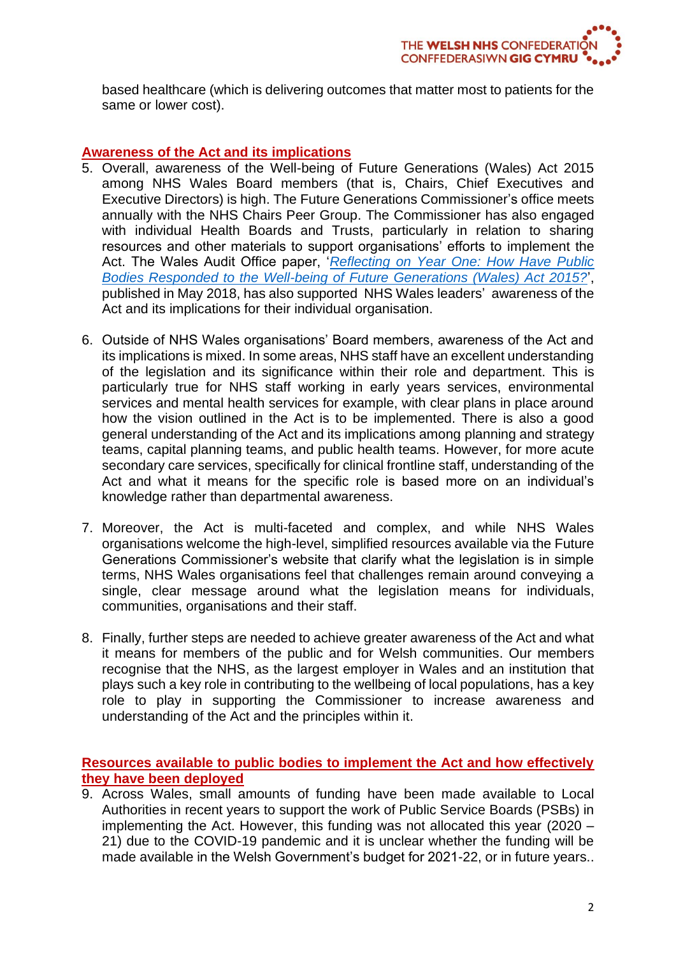based healthcare (which is delivering outcomes that matter most to patients for the same or lower cost).

## **Awareness of the Act and its implications**

- 5. Overall, awareness of the Well-being of Future Generations (Wales) Act 2015 among NHS Wales Board members (that is, Chairs, Chief Executives and Executive Directors) is high. The Future Generations Commissioner's office meets annually with the NHS Chairs Peer Group. The Commissioner has also engaged with individual Health Boards and Trusts, particularly in relation to sharing resources and other materials to support organisations' efforts to implement the Act. The Wales Audit Office paper, '*[Reflecting on Year One: How Have Public](https://www.audit.wales/system/files/publications/reflecting-on-year-one-2018-english.pdf)  [Bodies Responded to the Well-being of Future Generations \(Wales\) Act 2015?](https://www.audit.wales/system/files/publications/reflecting-on-year-one-2018-english.pdf)*', published in May 2018, has also supported NHS Wales leaders' awareness of the Act and its implications for their individual organisation.
- 6. Outside of NHS Wales organisations' Board members, awareness of the Act and its implications is mixed. In some areas, NHS staff have an excellent understanding of the legislation and its significance within their role and department. This is particularly true for NHS staff working in early years services, environmental services and mental health services for example, with clear plans in place around how the vision outlined in the Act is to be implemented. There is also a good general understanding of the Act and its implications among planning and strategy teams, capital planning teams, and public health teams. However, for more acute secondary care services, specifically for clinical frontline staff, understanding of the Act and what it means for the specific role is based more on an individual's knowledge rather than departmental awareness.
- 7. Moreover, the Act is multi-faceted and complex, and while NHS Wales organisations welcome the high-level, simplified resources available via the Future Generations Commissioner's website that clarify what the legislation is in simple terms, NHS Wales organisations feel that challenges remain around conveying a single, clear message around what the legislation means for individuals, communities, organisations and their staff.
- 8. Finally, further steps are needed to achieve greater awareness of the Act and what it means for members of the public and for Welsh communities. Our members recognise that the NHS, as the largest employer in Wales and an institution that plays such a key role in contributing to the wellbeing of local populations, has a key role to play in supporting the Commissioner to increase awareness and understanding of the Act and the principles within it.

**Resources available to public bodies to implement the Act and how effectively they have been deployed**

9. Across Wales, small amounts of funding have been made available to Local Authorities in recent years to support the work of Public Service Boards (PSBs) in implementing the Act. However, this funding was not allocated this year (2020 – 21) due to the COVID-19 pandemic and it is unclear whether the funding will be made available in the Welsh Government's budget for 2021-22, or in future years..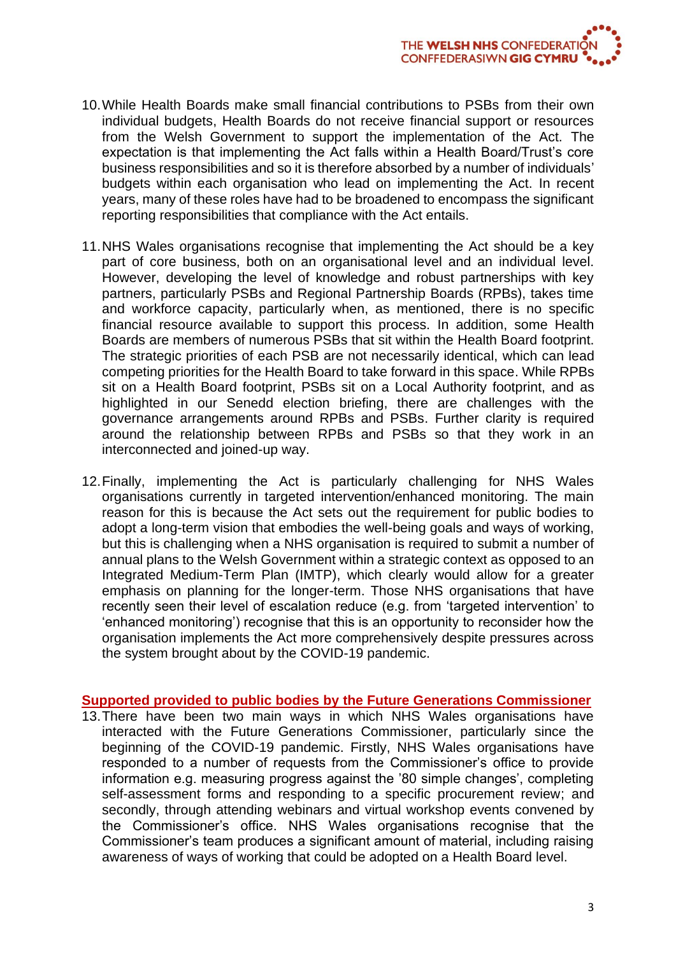- 10.While Health Boards make small financial contributions to PSBs from their own individual budgets, Health Boards do not receive financial support or resources from the Welsh Government to support the implementation of the Act. The expectation is that implementing the Act falls within a Health Board/Trust's core business responsibilities and so it is therefore absorbed by a number of individuals' budgets within each organisation who lead on implementing the Act. In recent years, many of these roles have had to be broadened to encompass the significant reporting responsibilities that compliance with the Act entails.
- 11.NHS Wales organisations recognise that implementing the Act should be a key part of core business, both on an organisational level and an individual level. However, developing the level of knowledge and robust partnerships with key partners, particularly PSBs and Regional Partnership Boards (RPBs), takes time and workforce capacity, particularly when, as mentioned, there is no specific financial resource available to support this process. In addition, some Health Boards are members of numerous PSBs that sit within the Health Board footprint. The strategic priorities of each PSB are not necessarily identical, which can lead competing priorities for the Health Board to take forward in this space. While RPBs sit on a Health Board footprint, PSBs sit on a Local Authority footprint, and as highlighted in our Senedd election briefing, there are challenges with the governance arrangements around RPBs and PSBs. Further clarity is required around the relationship between RPBs and PSBs so that they work in an interconnected and joined-up way.
- 12.Finally, implementing the Act is particularly challenging for NHS Wales organisations currently in targeted intervention/enhanced monitoring. The main reason for this is because the Act sets out the requirement for public bodies to adopt a long-term vision that embodies the well-being goals and ways of working, but this is challenging when a NHS organisation is required to submit a number of annual plans to the Welsh Government within a strategic context as opposed to an Integrated Medium-Term Plan (IMTP), which clearly would allow for a greater emphasis on planning for the longer-term. Those NHS organisations that have recently seen their level of escalation reduce (e.g. from 'targeted intervention' to 'enhanced monitoring') recognise that this is an opportunity to reconsider how the organisation implements the Act more comprehensively despite pressures across the system brought about by the COVID-19 pandemic.

### **Supported provided to public bodies by the Future Generations Commissioner**

13.There have been two main ways in which NHS Wales organisations have interacted with the Future Generations Commissioner, particularly since the beginning of the COVID-19 pandemic. Firstly, NHS Wales organisations have responded to a number of requests from the Commissioner's office to provide information e.g. measuring progress against the '80 simple changes', completing self-assessment forms and responding to a specific procurement review; and secondly, through attending webinars and virtual workshop events convened by the Commissioner's office. NHS Wales organisations recognise that the Commissioner's team produces a significant amount of material, including raising awareness of ways of working that could be adopted on a Health Board level.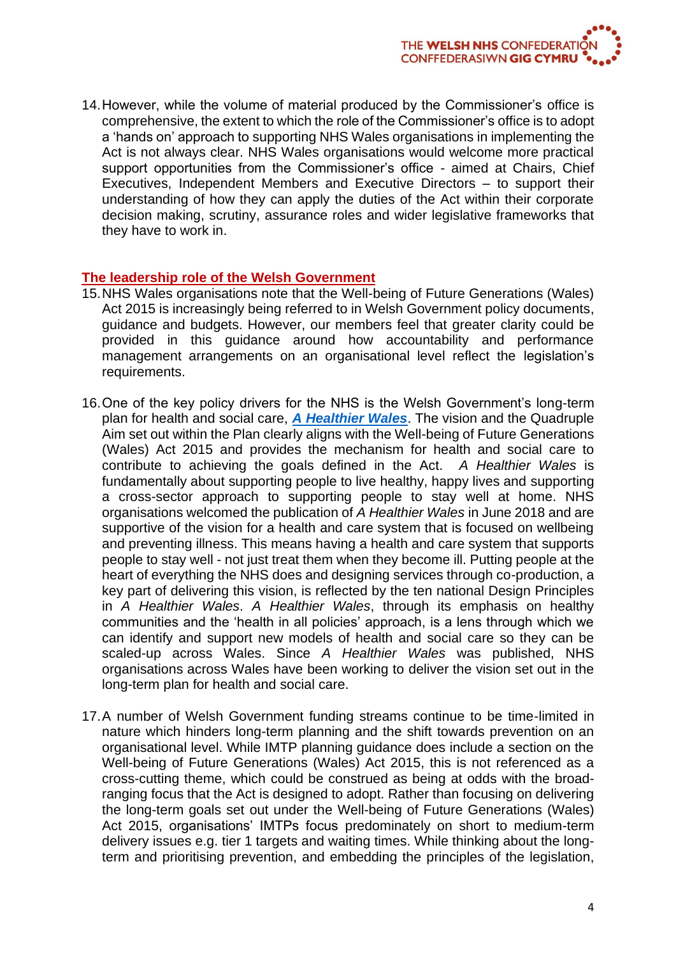14.However, while the volume of material produced by the Commissioner's office is comprehensive, the extent to which the role of the Commissioner's office is to adopt a 'hands on' approach to supporting NHS Wales organisations in implementing the Act is not always clear. NHS Wales organisations would welcome more practical support opportunities from the Commissioner's office - aimed at Chairs, Chief Executives, Independent Members and Executive Directors – to support their understanding of how they can apply the duties of the Act within their corporate decision making, scrutiny, assurance roles and wider legislative frameworks that they have to work in.

## **The leadership role of the Welsh Government**

- 15.NHS Wales organisations note that the Well-being of Future Generations (Wales) Act 2015 is increasingly being referred to in Welsh Government policy documents, guidance and budgets. However, our members feel that greater clarity could be provided in this guidance around how accountability and performance management arrangements on an organisational level reflect the legislation's requirements.
- 16.One of the key policy drivers for the NHS is the Welsh Government's long-term plan for health and social care, *[A Healthier Wales](https://gov.wales/sites/default/files/publications/2019-10/a-healthier-wales-action-plan.pdf)*. The vision and the Quadruple Aim set out within the Plan clearly aligns with the Well-being of Future Generations (Wales) Act 2015 and provides the mechanism for health and social care to contribute to achieving the goals defined in the Act. *A Healthier Wales* is fundamentally about supporting people to live healthy, happy lives and supporting a cross-sector approach to supporting people to stay well at home. NHS organisations welcomed the publication of *A Healthier Wales* in June 2018 and are supportive of the vision for a health and care system that is focused on wellbeing and preventing illness. This means having a health and care system that supports people to stay well - not just treat them when they become ill. Putting people at the heart of everything the NHS does and designing services through co-production, a key part of delivering this vision, is reflected by the ten national Design Principles in *A Healthier Wales*. *A Healthier Wales*, through its emphasis on healthy communities and the 'health in all policies' approach, is a lens through which we can identify and support new models of health and social care so they can be scaled-up across Wales. Since *A Healthier Wales* was published, NHS organisations across Wales have been working to deliver the vision set out in the long-term plan for health and social care.
- 17.A number of Welsh Government funding streams continue to be time-limited in nature which hinders long-term planning and the shift towards prevention on an organisational level. While IMTP planning guidance does include a section on the Well-being of Future Generations (Wales) Act 2015, this is not referenced as a cross-cutting theme, which could be construed as being at odds with the broadranging focus that the Act is designed to adopt. Rather than focusing on delivering the long-term goals set out under the Well-being of Future Generations (Wales) Act 2015, organisations' IMTPs focus predominately on short to medium-term delivery issues e.g. tier 1 targets and waiting times. While thinking about the longterm and prioritising prevention, and embedding the principles of the legislation,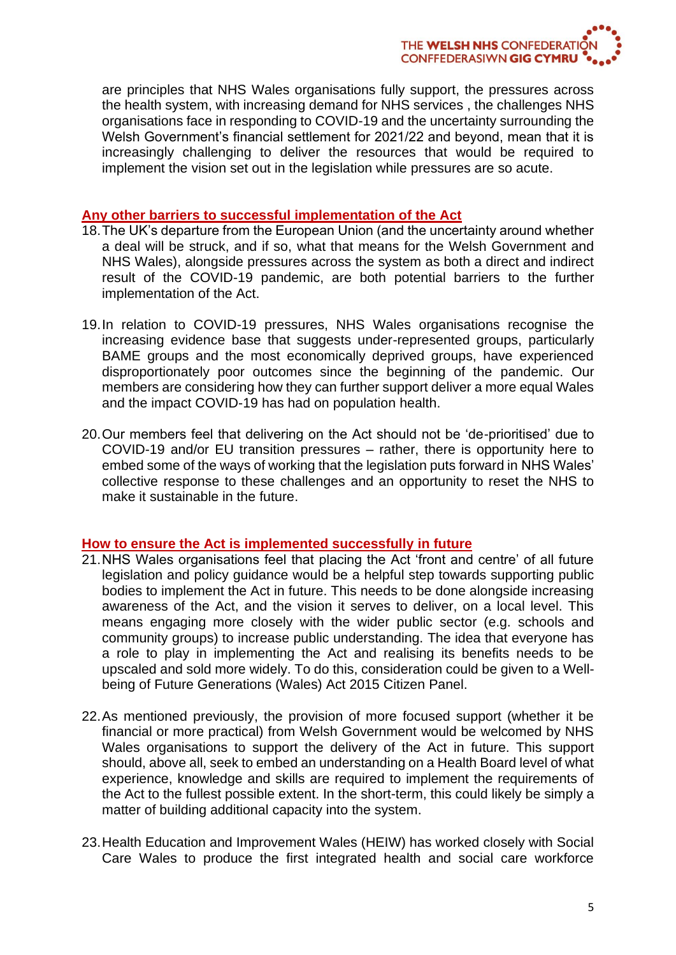are principles that NHS Wales organisations fully support, the pressures across the health system, with increasing demand for NHS services , the challenges NHS organisations face in responding to COVID-19 and the uncertainty surrounding the Welsh Government's financial settlement for 2021/22 and beyond, mean that it is increasingly challenging to deliver the resources that would be required to implement the vision set out in the legislation while pressures are so acute.

### **Any other barriers to successful implementation of the Act**

- 18.The UK's departure from the European Union (and the uncertainty around whether a deal will be struck, and if so, what that means for the Welsh Government and NHS Wales), alongside pressures across the system as both a direct and indirect result of the COVID-19 pandemic, are both potential barriers to the further implementation of the Act.
- 19.In relation to COVID-19 pressures, NHS Wales organisations recognise the increasing evidence base that suggests under-represented groups, particularly BAME groups and the most economically deprived groups, have experienced disproportionately poor outcomes since the beginning of the pandemic. Our members are considering how they can further support deliver a more equal Wales and the impact COVID-19 has had on population health.
- 20.Our members feel that delivering on the Act should not be 'de-prioritised' due to COVID-19 and/or EU transition pressures – rather, there is opportunity here to embed some of the ways of working that the legislation puts forward in NHS Wales' collective response to these challenges and an opportunity to reset the NHS to make it sustainable in the future.

## **How to ensure the Act is implemented successfully in future**

- 21.NHS Wales organisations feel that placing the Act 'front and centre' of all future legislation and policy guidance would be a helpful step towards supporting public bodies to implement the Act in future. This needs to be done alongside increasing awareness of the Act, and the vision it serves to deliver, on a local level. This means engaging more closely with the wider public sector (e.g. schools and community groups) to increase public understanding. The idea that everyone has a role to play in implementing the Act and realising its benefits needs to be upscaled and sold more widely. To do this, consideration could be given to a Wellbeing of Future Generations (Wales) Act 2015 Citizen Panel.
- 22.As mentioned previously, the provision of more focused support (whether it be financial or more practical) from Welsh Government would be welcomed by NHS Wales organisations to support the delivery of the Act in future. This support should, above all, seek to embed an understanding on a Health Board level of what experience, knowledge and skills are required to implement the requirements of the Act to the fullest possible extent. In the short-term, this could likely be simply a matter of building additional capacity into the system.
- 23.Health Education and Improvement Wales (HEIW) has worked closely with Social Care Wales to produce the first integrated health and social care workforce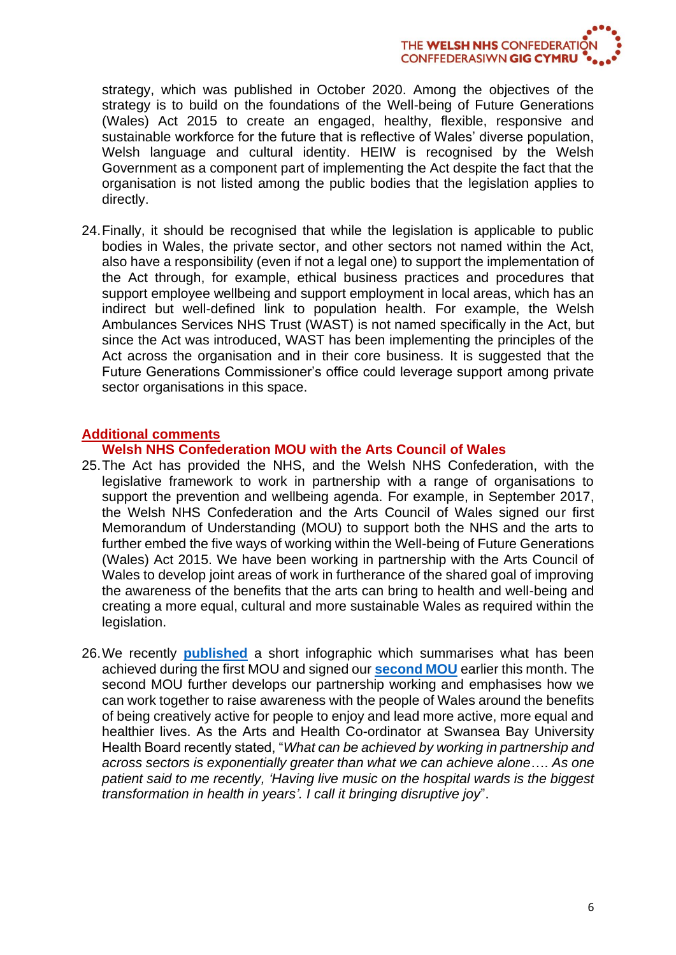THE WELSH NHS CONFEDERATION **CONFFEDERASIWN GIG CYMRU** 

strategy, which was published in October 2020. Among the objectives of the strategy is to build on the foundations of the Well-being of Future Generations (Wales) Act 2015 to create an engaged, healthy, flexible, responsive and sustainable workforce for the future that is reflective of Wales' diverse population, Welsh language and cultural identity. HEIW is recognised by the Welsh Government as a component part of implementing the Act despite the fact that the organisation is not listed among the public bodies that the legislation applies to directly.

24.Finally, it should be recognised that while the legislation is applicable to public bodies in Wales, the private sector, and other sectors not named within the Act, also have a responsibility (even if not a legal one) to support the implementation of the Act through, for example, ethical business practices and procedures that support employee wellbeing and support employment in local areas, which has an indirect but well-defined link to population health. For example, the Welsh Ambulances Services NHS Trust (WAST) is not named specifically in the Act, but since the Act was introduced, WAST has been implementing the principles of the Act across the organisation and in their core business. It is suggested that the Future Generations Commissioner's office could leverage support among private sector organisations in this space.

### **Additional comments**

#### **Welsh NHS Confederation MOU with the Arts Council of Wales**

- 25.The Act has provided the NHS, and the Welsh NHS Confederation, with the legislative framework to work in partnership with a range of organisations to support the prevention and wellbeing agenda. For example, in September 2017, the Welsh NHS Confederation and the Arts Council of Wales signed our first Memorandum of Understanding (MOU) to support both the NHS and the arts to further embed the five ways of working within the Well-being of Future Generations (Wales) Act 2015. We have been working in partnership with the Arts Council of Wales to develop joint areas of work in furtherance of the shared goal of improving the awareness of the benefits that the arts can bring to health and well-being and creating a more equal, cultural and more sustainable Wales as required within the legislation.
- 26.We recently **[published](https://www.nhsconfed.org/-/media/Confederation/Files/Wales-Confed/Advancing-Arts-Health-and-Wellbeing.pdf)** a short infographic which summarises what has been achieved during the first MOU and signed our **[second MOU](https://www.nhsconfed.org/news/2020/11/arts-and-health-initiatives-have-been-proven-to-improve-health-and-wellbeing-in-wales)** earlier this month. The second MOU further develops our partnership working and emphasises how we can work together to raise awareness with the people of Wales around the benefits of being creatively active for people to enjoy and lead more active, more equal and healthier lives. As the Arts and Health Co-ordinator at Swansea Bay University Health Board recently stated, "*What can be achieved by working in partnership and across sectors is exponentially greater than what we can achieve alone*…. *As one patient said to me recently, 'Having live music on the hospital wards is the biggest transformation in health in years'. I call it bringing disruptive joy*".